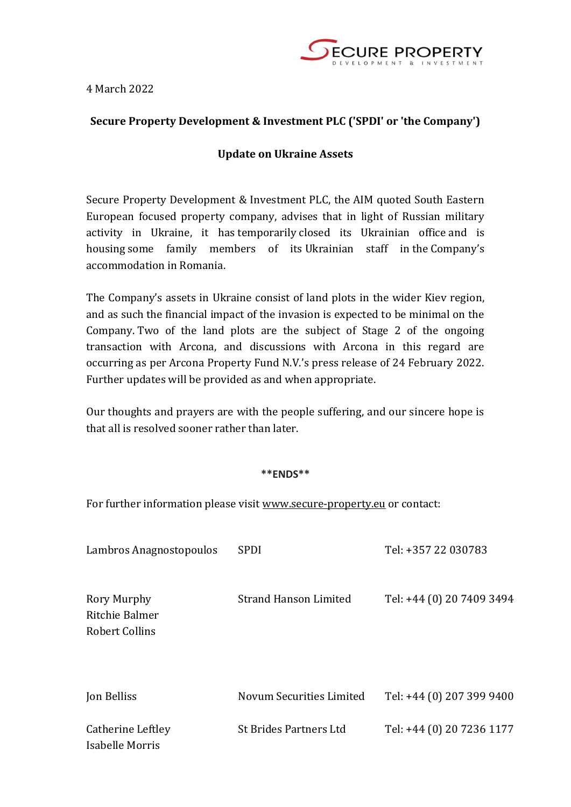

4 March 2022

## **Secure Property Development & Investment PLC ('SPDI' or 'the Company')**

## **Update on Ukraine Assets**

Secure Property Development & Investment PLC, the AIM quoted South Eastern European focused property company, advises that in light of Russian military activity in Ukraine, it has temporarily closed its Ukrainian office and is housing some family members of its Ukrainian staff in the Company's accommodation in Romania.

The Company's assets in Ukraine consist of land plots in the wider Kiev region, and as such the financial impact of the invasion is expected to be minimal on the Company. Two of the land plots are the subject of Stage 2 of the ongoing transaction with Arcona, and discussions with Arcona in this regard are occurring as per Arcona Property Fund N.V.'s press release of 24 February 2022. Further updates will be provided as and when appropriate.

Our thoughts and prayers are with the people suffering, and our sincere hope is that all is resolved sooner rather than later.

## **\*\*ENDS\*\***

For further information please visit [www.secure-property.eu](http://www.secure-property.eu/#_blank) or contact:

| Lambros Anagnostopoulos                                | <b>SPDI</b>                   | Tel: +357 22 030783       |
|--------------------------------------------------------|-------------------------------|---------------------------|
| Rory Murphy<br>Ritchie Balmer<br><b>Robert Collins</b> | <b>Strand Hanson Limited</b>  | Tel: +44 (0) 20 7409 3494 |
| Jon Belliss                                            | Novum Securities Limited      | Tel: +44 (0) 207 399 9400 |
| Catherine Leftley<br>Isabelle Morris                   | <b>St Brides Partners Ltd</b> | Tel: +44 (0) 20 7236 1177 |